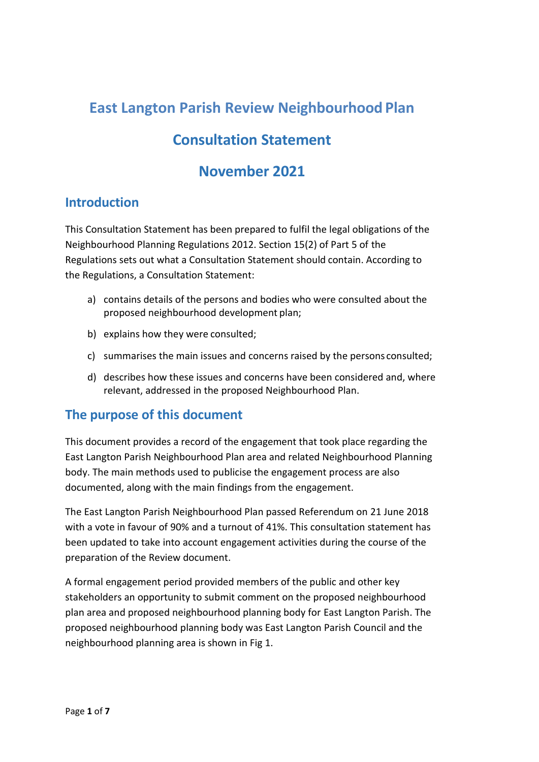# **East Langton Parish Review Neighbourhood Plan**

# **Consultation Statement**

# **November 2021**

# **Introduction**

This Consultation Statement has been prepared to fulfil the legal obligations of the Neighbourhood Planning Regulations 2012. Section 15(2) of Part 5 of the Regulations sets out what a Consultation Statement should contain. According to the Regulations, a Consultation Statement:

- a) contains details of the persons and bodies who were consulted about the proposed neighbourhood development plan;
- b) explains how they were consulted;
- c) summarises the main issues and concerns raised by the persons consulted;
- d) describes how these issues and concerns have been considered and, where relevant, addressed in the proposed Neighbourhood Plan.

# **The purpose of this document**

This document provides a record of the engagement that took place regarding the East Langton Parish Neighbourhood Plan area and related Neighbourhood Planning body. The main methods used to publicise the engagement process are also documented, along with the main findings from the engagement.

The East Langton Parish Neighbourhood Plan passed Referendum on 21 June 2018 with a vote in favour of 90% and a turnout of 41%. This consultation statement has been updated to take into account engagement activities during the course of the preparation of the Review document.

A formal engagement period provided members of the public and other key stakeholders an opportunity to submit comment on the proposed neighbourhood plan area and proposed neighbourhood planning body for East Langton Parish. The proposed neighbourhood planning body was East Langton Parish Council and the neighbourhood planning area is shown in Fig 1.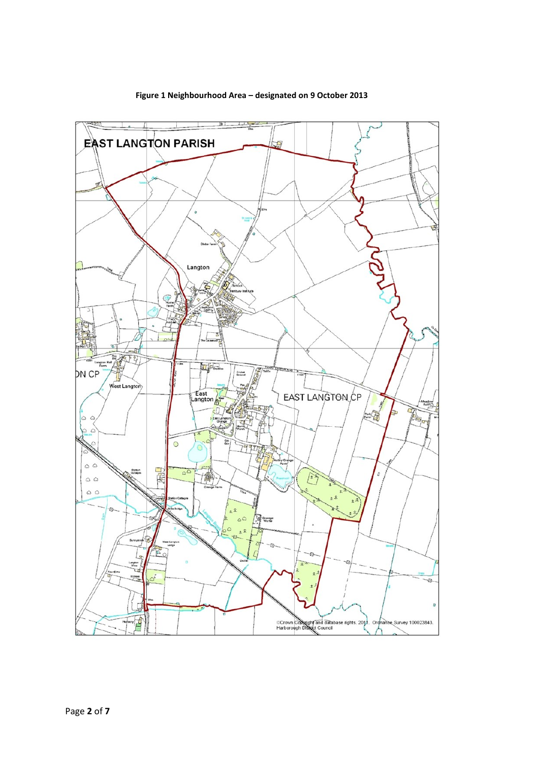

#### **Figure 1 Neighbourhood Area – designated on 9 October 2013**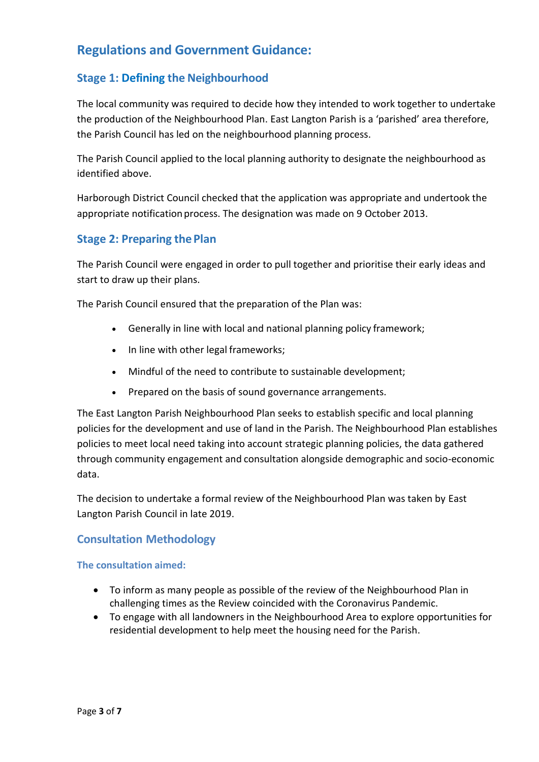# **Regulations and Government Guidance:**

# **Stage 1: Defining the Neighbourhood**

The local community was required to decide how they intended to work together to undertake the production of the Neighbourhood Plan. East Langton Parish is a 'parished' area therefore, the Parish Council has led on the neighbourhood planning process.

The Parish Council applied to the local planning authority to designate the neighbourhood as identified above.

Harborough District Council checked that the application was appropriate and undertook the appropriate notification process. The designation was made on 9 October 2013.

## **Stage 2: Preparing the Plan**

The Parish Council were engaged in order to pull together and prioritise their early ideas and start to draw up their plans.

The Parish Council ensured that the preparation of the Plan was:

- Generally in line with local and national planning policy framework;
- In line with other legal frameworks;
- Mindful of the need to contribute to sustainable development;
- Prepared on the basis of sound governance arrangements.

The East Langton Parish Neighbourhood Plan seeks to establish specific and local planning policies for the development and use of land in the Parish. The Neighbourhood Plan establishes policies to meet local need taking into account strategic planning policies, the data gathered through community engagement and consultation alongside demographic and socio-economic data.

The decision to undertake a formal review of the Neighbourhood Plan was taken by East Langton Parish Council in late 2019.

## **Consultation Methodology**

### **The consultation aimed:**

- To inform as many people as possible of the review of the Neighbourhood Plan in challenging times as the Review coincided with the Coronavirus Pandemic.
- To engage with all landowners in the Neighbourhood Area to explore opportunities for residential development to help meet the housing need for the Parish.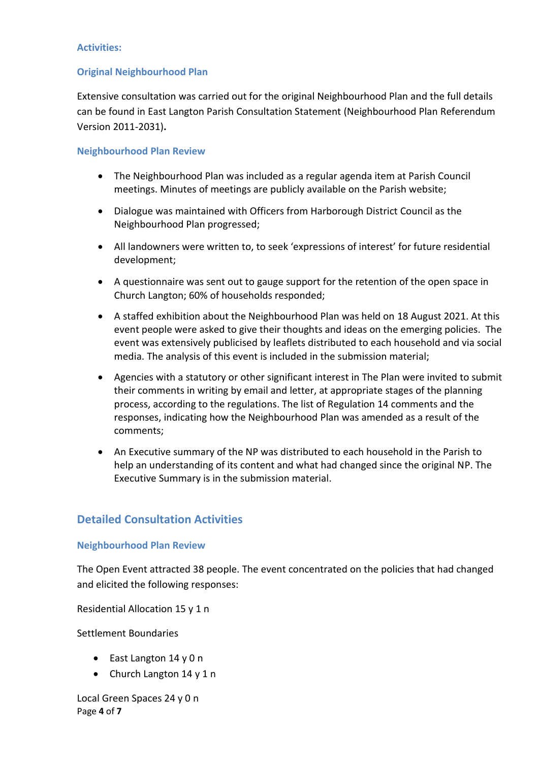#### **Activities:**

## **Original Neighbourhood Plan**

Extensive consultation was carried out for the original Neighbourhood Plan and the full details can be found in East Langton Parish Consultation Statement (Neighbourhood Plan Referendum Version 2011-2031)**.**

### **Neighbourhood Plan Review**

- The Neighbourhood Plan was included as a regular agenda item at Parish Council meetings. Minutes of meetings are publicly available on the Parish website;
- Dialogue was maintained with Officers from Harborough District Council as the Neighbourhood Plan progressed;
- All landowners were written to, to seek 'expressions of interest' for future residential development;
- A questionnaire was sent out to gauge support for the retention of the open space in Church Langton; 60% of households responded;
- A staffed exhibition about the Neighbourhood Plan was held on 18 August 2021. At this event people were asked to give their thoughts and ideas on the emerging policies. The event was extensively publicised by leaflets distributed to each household and via social media. The analysis of this event is included in the submission material;
- Agencies with a statutory or other significant interest in The Plan were invited to submit their comments in writing by email and letter, at appropriate stages of the planning process, according to the regulations. The list of Regulation 14 comments and the responses, indicating how the Neighbourhood Plan was amended as a result of the comments;
- An Executive summary of the NP was distributed to each household in the Parish to help an understanding of its content and what had changed since the original NP. The Executive Summary is in the submission material.

## **Detailed Consultation Activities**

### **Neighbourhood Plan Review**

The Open Event attracted 38 people. The event concentrated on the policies that had changed and elicited the following responses:

Residential Allocation 15 y 1 n

Settlement Boundaries

- East Langton 14 y 0 n
- Church Langton 14 y 1 n

Page **4** of **7** Local Green Spaces 24 y 0 n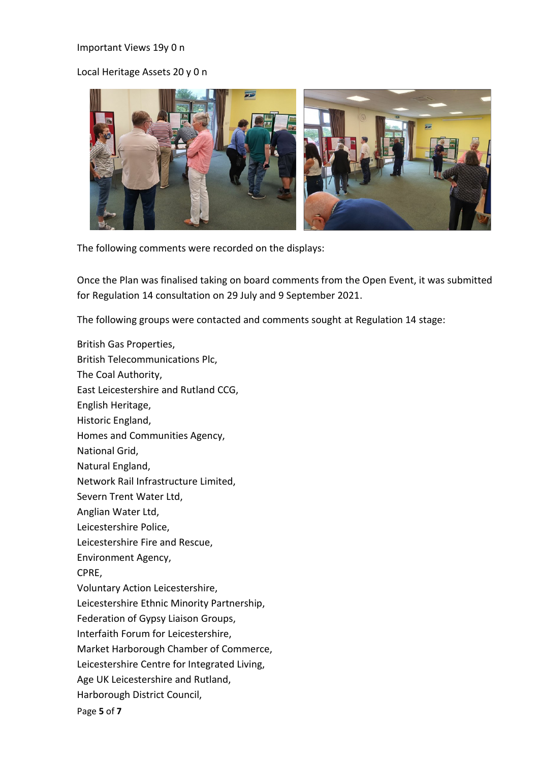#### Important Views 19y 0 n

## Local Heritage Assets 20 y 0 n



The following comments were recorded on the displays:

Once the Plan was finalised taking on board comments from the Open Event, it was submitted for Regulation 14 consultation on 29 July and 9 September 2021.

The following groups were contacted and comments sought at Regulation 14 stage:

Page **5** of **7** British Gas Properties, British Telecommunications Plc, The Coal Authority, East Leicestershire and Rutland CCG, English Heritage, Historic England, Homes and Communities Agency, National Grid, Natural England, Network Rail Infrastructure Limited, Severn Trent Water Ltd, Anglian Water Ltd, Leicestershire Police, Leicestershire Fire and Rescue, Environment Agency, CPRE, Voluntary Action Leicestershire, Leicestershire Ethnic Minority Partnership, Federation of Gypsy Liaison Groups, Interfaith Forum for Leicestershire, Market Harborough Chamber of Commerce, Leicestershire Centre for Integrated Living, Age UK Leicestershire and Rutland, Harborough District Council,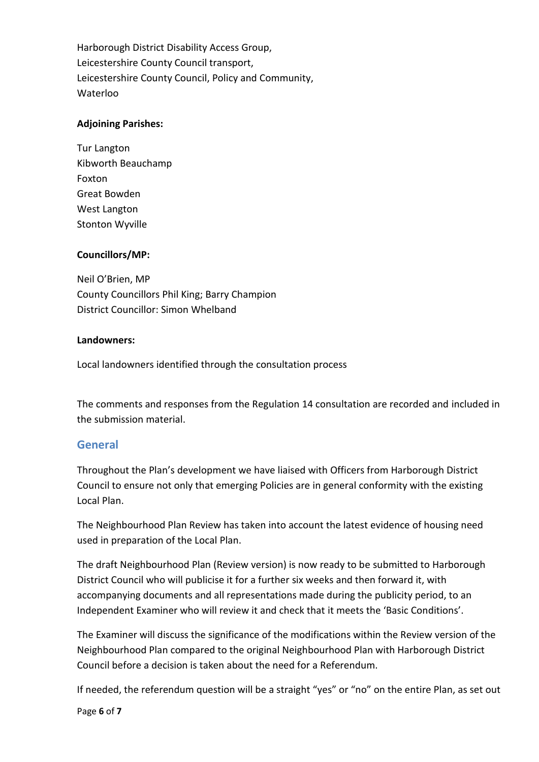Harborough District Disability Access Group, Leicestershire County Council transport, Leicestershire County Council, Policy and Community, Waterloo

## **Adjoining Parishes:**

Tur Langton Kibworth Beauchamp Foxton Great Bowden West Langton Stonton Wyville

## **Councillors/MP:**

Neil O'Brien, MP County Councillors Phil King; Barry Champion District Councillor: Simon Whelband

### **Landowners:**

Local landowners identified through the consultation process

The comments and responses from the Regulation 14 consultation are recorded and included in the submission material.

## **General**

Throughout the Plan's development we have liaised with Officers from Harborough District Council to ensure not only that emerging Policies are in general conformity with the existing Local Plan.

The Neighbourhood Plan Review has taken into account the latest evidence of housing need used in preparation of the Local Plan.

The draft Neighbourhood Plan (Review version) is now ready to be submitted to Harborough District Council who will publicise it for a further six weeks and then forward it, with accompanying documents and all representations made during the publicity period, to an Independent Examiner who will review it and check that it meets the 'Basic Conditions'.

The Examiner will discuss the significance of the modifications within the Review version of the Neighbourhood Plan compared to the original Neighbourhood Plan with Harborough District Council before a decision is taken about the need for a Referendum.

If needed, the referendum question will be a straight "yes" or "no" on the entire Plan, as set out

Page **6** of **7**